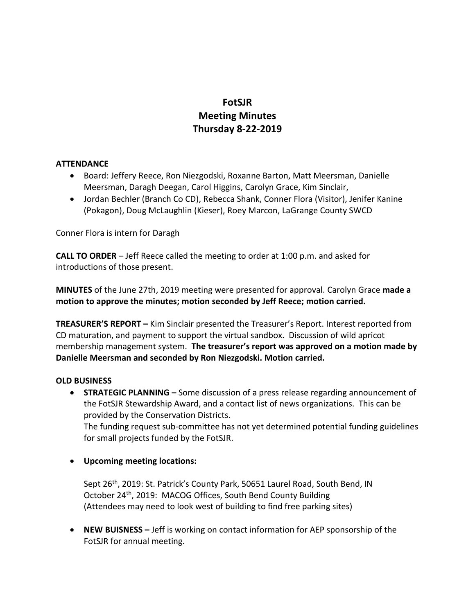# **FotSJR Meeting Minutes Thursday 8-22-2019**

### **ATTENDANCE**

- Board: Jeffery Reece, Ron Niezgodski, Roxanne Barton, Matt Meersman, Danielle Meersman, Daragh Deegan, Carol Higgins, Carolyn Grace, Kim Sinclair,
- Jordan Bechler (Branch Co CD), Rebecca Shank, Conner Flora (Visitor), Jenifer Kanine (Pokagon), Doug McLaughlin (Kieser), Roey Marcon, LaGrange County SWCD

Conner Flora is intern for Daragh

**CALL TO ORDER** – Jeff Reece called the meeting to order at 1:00 p.m. and asked for introductions of those present.

**MINUTES** of the June 27th, 2019 meeting were presented for approval. Carolyn Grace **made a motion to approve the minutes; motion seconded by Jeff Reece; motion carried.**

**TREASURER'S REPORT –** Kim Sinclair presented the Treasurer's Report. Interest reported from CD maturation, and payment to support the virtual sandbox. Discussion of wild apricot membership management system. **The treasurer's report was approved on a motion made by Danielle Meersman and seconded by Ron Niezgodski. Motion carried.**

### **OLD BUSINESS**

**STRATEGIC PLANNING –** Some discussion of a press release regarding announcement of the FotSJR Stewardship Award, and a contact list of news organizations. This can be provided by the Conservation Districts.

The funding request sub-committee has not yet determined potential funding guidelines for small projects funded by the FotSJR.

# **Upcoming meeting locations:**

Sept 26<sup>th</sup>, 2019: St. Patrick's County Park, 50651 Laurel Road, South Bend, IN October 24<sup>th</sup>, 2019: MACOG Offices, South Bend County Building (Attendees may need to look west of building to find free parking sites)

 **NEW BUISNESS –** Jeff is working on contact information for AEP sponsorship of the FotSJR for annual meeting.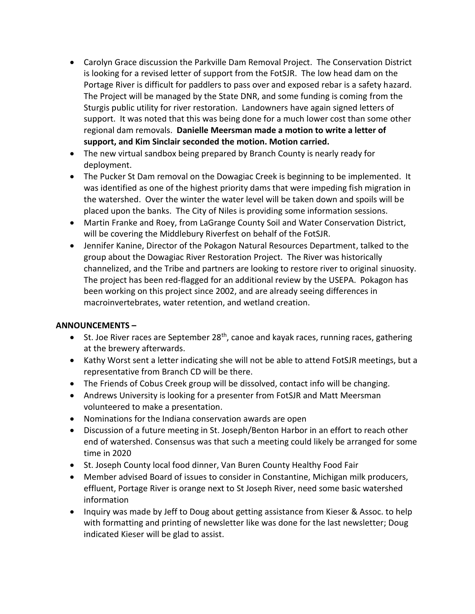- Carolyn Grace discussion the Parkville Dam Removal Project. The Conservation District is looking for a revised letter of support from the FotSJR. The low head dam on the Portage River is difficult for paddlers to pass over and exposed rebar is a safety hazard. The Project will be managed by the State DNR, and some funding is coming from the Sturgis public utility for river restoration. Landowners have again signed letters of support. It was noted that this was being done for a much lower cost than some other regional dam removals. **Danielle Meersman made a motion to write a letter of support, and Kim Sinclair seconded the motion. Motion carried.**
- The new virtual sandbox being prepared by Branch County is nearly ready for deployment.
- The Pucker St Dam removal on the Dowagiac Creek is beginning to be implemented. It was identified as one of the highest priority dams that were impeding fish migration in the watershed. Over the winter the water level will be taken down and spoils will be placed upon the banks. The City of Niles is providing some information sessions.
- Martin Franke and Roey, from LaGrange County Soil and Water Conservation District, will be covering the Middlebury Riverfest on behalf of the FotSJR.
- Jennifer Kanine, Director of the Pokagon Natural Resources Department, talked to the group about the Dowagiac River Restoration Project. The River was historically channelized, and the Tribe and partners are looking to restore river to original sinuosity. The project has been red-flagged for an additional review by the USEPA. Pokagon has been working on this project since 2002, and are already seeing differences in macroinvertebrates, water retention, and wetland creation.

# **ANNOUNCEMENTS –**

- $\bullet$  St. Joe River races are September 28<sup>th</sup>, canoe and kayak races, running races, gathering at the brewery afterwards.
- Kathy Worst sent a letter indicating she will not be able to attend FotSJR meetings, but a representative from Branch CD will be there.
- The Friends of Cobus Creek group will be dissolved, contact info will be changing.
- Andrews University is looking for a presenter from FotSJR and Matt Meersman volunteered to make a presentation.
- Nominations for the Indiana conservation awards are open
- Discussion of a future meeting in St. Joseph/Benton Harbor in an effort to reach other end of watershed. Consensus was that such a meeting could likely be arranged for some time in 2020
- St. Joseph County local food dinner, Van Buren County Healthy Food Fair
- Member advised Board of issues to consider in Constantine, Michigan milk producers, effluent, Portage River is orange next to St Joseph River, need some basic watershed information
- Inquiry was made by Jeff to Doug about getting assistance from Kieser & Assoc. to help with formatting and printing of newsletter like was done for the last newsletter; Doug indicated Kieser will be glad to assist.